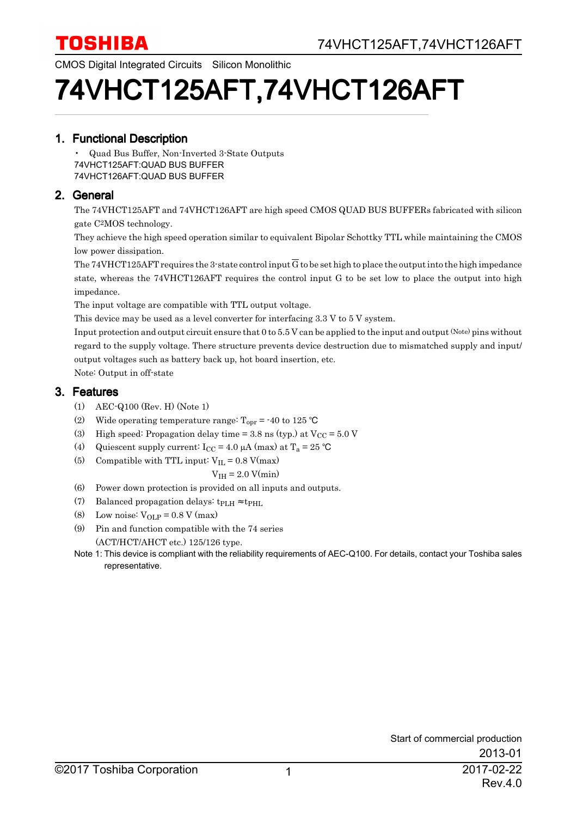CMOS Digital Integrated Circuits Silicon Monolithic

# 74VHCT125AFT,74VHCT126AFT

#### 1. Functional Description

• Quad Bus Buffer, Non-Inverted 3-State Outputs 74VHCT125AFT:QUAD BUS BUFFER 74VHCT126AFT:QUAD BUS BUFFER

#### 2. General

The 74VHCT125AFT and 74VHCT126AFT are high speed CMOS QUAD BUS BUFFERs fabricated with silicon gate C 2MOS technology.

They achieve the high speed operation similar to equivalent Bipolar Schottky TTL while maintaining the CMOS low power dissipation.

The 74VHCT125AFT requires the 3-state control input G to be set high to place the output into the high impedance state, whereas the 74VHCT126AFT requires the control input G to be set low to place the output into high impedance.

The input voltage are compatible with TTL output voltage.

This device may be used as a level converter for interfacing 3.3 V to 5 V system.

Input protection and output circuit ensure that 0 to 5.5 V can be applied to the input and output (Note) pins without regard to the supply voltage. There structure prevents device destruction due to mismatched supply and input/ output voltages such as battery back up, hot board insertion, etc.

Note: Output in off-state

#### 3. Features

- (1) AEC-Q100 (Rev. H) (Note 1)
- (2) Wide operating temperature range:  $T_{\text{opr}} = -40$  to 125 °C
- (3) High speed: Propagation delay time = 3.8 ns (typ.) at  $V_{CC}$  = 5.0 V
- (4) Quiescent supply current:  $I_{CC} = 4.0 \mu A \text{ (max) at } T_a = 25 \text{ °C}$
- (5) Compatible with TTL input:  $V_{IL} = 0.8$  V(max)

$$
V_{IH} = 2.0 V(min)
$$

- (6) Power down protection is provided on all inputs and outputs.
- (7) Balanced propagation delays:  $t_{\rm PLH} \approx t_{\rm PHL}$
- (8) Low noise:  $V_{OLP} = 0.8$  V (max)
- (9) Pin and function compatible with the 74 series (ACT/HCT/AHCT etc.) 125/126 type.

Note 1: This device is compliant with the reliability requirements of AEC-Q100. For details, contact your Toshiba sales representative.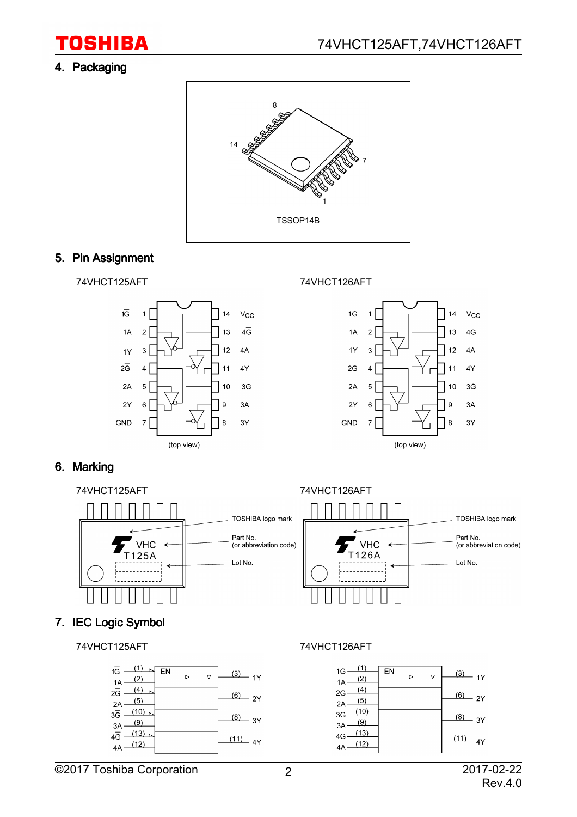## **TOSHIBA**

#### 4. Packaging



### 5. Pin Assignment







#### 6. Marking



### 7. IEC Logic Symbol

74VHCT125AFT 74VHCT126AFT

| 1G -<br>(2)<br>1A                       | EN | ь | ᢦ | (3)<br>1Y  |
|-----------------------------------------|----|---|---|------------|
| $2\overline{G}$<br>(5)<br>2A            |    |   |   | (6)<br>2Y  |
| (10)<br>$3\overline{G}$<br>(9)<br>3A    |    |   |   | (8)<br>3Y  |
| (13)<br>$4\overline{G}$ .<br>(12)<br>4A |    |   |   | (11)<br>4Y |

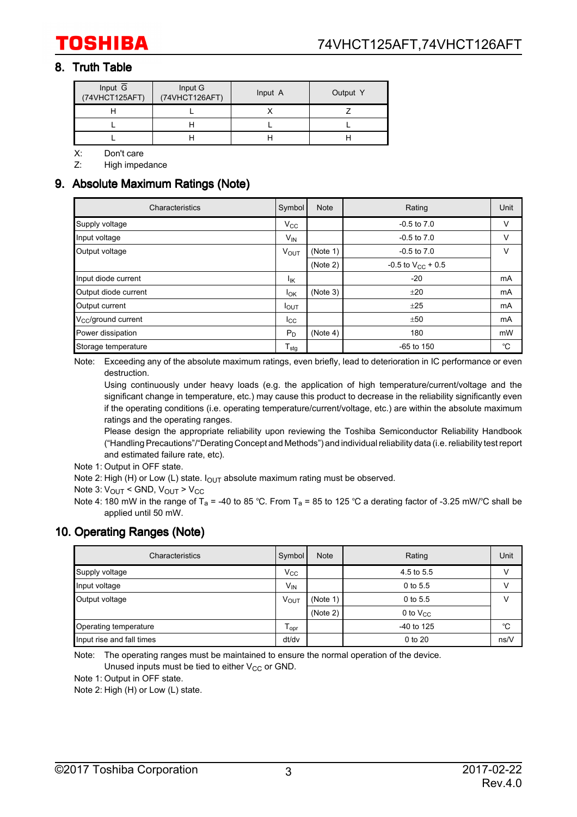#### 8. Truth Table

| Input $\overline{G}$<br>(74VHCT125AFT) | Input G<br>(74VHCT126AFT) | Input A | Output Y |
|----------------------------------------|---------------------------|---------|----------|
|                                        |                           |         |          |
|                                        |                           |         |          |
|                                        |                           |         |          |

X: Don't care

Z: High impedance

#### 9. Absolute Maximum Ratings (Note)

| Characteristics              | Symbol                     | <b>Note</b> | Rating                 | Unit |
|------------------------------|----------------------------|-------------|------------------------|------|
| Supply voltage               | $V_{\rm CC}$               |             | $-0.5$ to $7.0$        | v    |
| Input voltage                | $V_{IN}$                   |             | $-0.5$ to $7.0$        | v    |
| Output voltage               | $V_{\text{OUT}}$           | (Note 1)    | $-0.5$ to $7.0$        | v    |
|                              |                            | (Note 2)    | -0.5 to $V_{CC}$ + 0.5 |      |
| Input diode current          | ŀικ                        |             | $-20$                  | mA   |
| Output diode current         | Iок                        | (Note 3)    | ±20                    | mA   |
| Output current               | $I_{\text{OUT}}$           |             | ±25                    | mA   |
| $V_{\rm CC}$ /ground current | $_{\rm{lcc}}$              |             | ±50                    | mA   |
| Power dissipation            | $P_D$                      | (Note 4)    | 180                    | mW   |
| Storage temperature          | ${\mathsf T}_{\text{stg}}$ |             | $-65$ to $150$         | °C   |

Note: Exceeding any of the absolute maximum ratings, even briefly, lead to deterioration in IC performance or even destruction.

Using continuously under heavy loads (e.g. the application of high temperature/current/voltage and the significant change in temperature, etc.) may cause this product to decrease in the reliability significantly even if the operating conditions (i.e. operating temperature/current/voltage, etc.) are within the absolute maximum ratings and the operating ranges.

Please design the appropriate reliability upon reviewing the Toshiba Semiconductor Reliability Handbook ("Handling Precautions"/"Derating Concept and Methods") and individual reliability data (i.e. reliability test report and estimated failure rate, etc).

Note 1: Output in OFF state.

Note 2: High (H) or Low (L) state.  $I_{\text{OUT}}$  absolute maximum rating must be observed.

Note 3: V<sub>OUT</sub> < GND, V<sub>OUT</sub> > V<sub>CC</sub>

Note 4: 180 mW in the range of T<sub>a</sub> = -40 to 85 °C. From T<sub>a</sub> = 85 to 125 °C a derating factor of -3.25 mW/°C shall be applied until 50 mW.

#### 10. Operating Ranges (Note)

| Characteristics           | Symbol                      | <b>Note</b> | Rating        | Unit |
|---------------------------|-----------------------------|-------------|---------------|------|
| Supply voltage            | $V_{\rm CC}$                |             | 4.5 to 5.5    | V    |
| Input voltage             | V <sub>IN</sub>             |             | $0$ to 5.5    | V    |
| Output voltage            | VOUT                        | (Note 1)    | 0 to 5.5      | V    |
|                           |                             | (Note 2)    | 0 to $V_{CC}$ |      |
| Operating temperature     | $\mathsf{T}_{\mathsf{opr}}$ |             | -40 to 125    | °C   |
| Input rise and fall times | dt/dv                       |             | 0 to 20       | ns/V |

Note: The operating ranges must be maintained to ensure the normal operation of the device. Unused inputs must be tied to either  $V_{CC}$  or GND.

Note 1: Output in OFF state.

Note 2: High (H) or Low (L) state.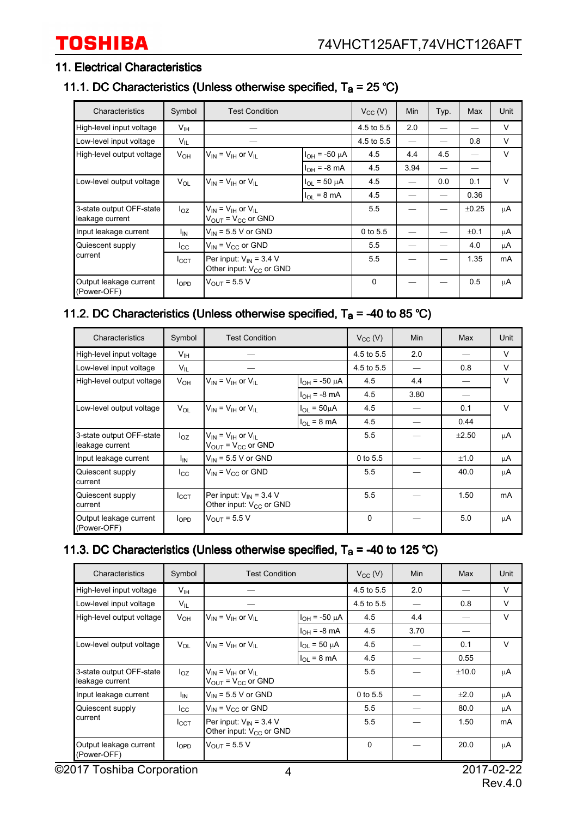#### 11. Electrical Characteristics

#### 11.1. DC Characteristics (Unless otherwise specified,  $T_a = 25 \degree C$ )

| Characteristics                             | Symbol          | <b>Test Condition</b>                                                        |                        | $V_{CC} (V)$ | Min  | Typ. | Max        | Unit   |
|---------------------------------------------|-----------------|------------------------------------------------------------------------------|------------------------|--------------|------|------|------------|--------|
| High-level input voltage                    | $V_{\text{IH}}$ |                                                                              |                        | 4.5 to 5.5   | 2.0  |      |            | $\vee$ |
| Low-level input voltage                     | $V_{IL}$        |                                                                              |                        | 4.5 to 5.5   |      |      | 0.8        | V      |
| High-level output voltage                   | $V_{OH}$        | $V_{IN} = V_{IH}$ or $V_{IL}$                                                | $I_{OH}$ = -50 $\mu$ A | 4.5          | 4.4  | 4.5  |            | $\vee$ |
|                                             |                 |                                                                              | $I_{OH} = -8$ mA       | 4.5          | 3.94 |      |            |        |
| Low-level output voltage                    | $V_{OL}$        | $V_{\text{IN}} = V_{\text{IH}}$ or $V_{\text{II}}$                           | $I_{OL}$ = 50 $\mu$ A  | 4.5          |      | 0.0  | 0.1        | $\vee$ |
|                                             |                 |                                                                              | $I_{OL}$ = 8 mA        | 4.5          |      |      | 0.36       |        |
| 3-state output OFF-state<br>leakage current | $I_{OZ}$        | $V_{IN}$ = $V_{IH}$ or $V_{II}$<br>$V_{\text{OUT}}$ = $V_{\text{CC}}$ or GND |                        |              |      |      | $\pm 0.25$ | μA     |
| Input leakage current                       | <sup>I</sup> IN | $V_{\text{IN}}$ = 5.5 V or GND                                               |                        | 0 to 5.5     |      |      | ±0.1       | μA     |
| Quiescent supply                            | $_{\rm lcc}$    | $V_{IN}$ = $V_{CC}$ or GND                                                   |                        | 5.5          |      |      | 4.0        | μA     |
| current                                     | $I_{\rm CCT}$   | Per input: $V_{IN}$ = 3.4 V<br>Other input: $V_{CC}$ or GND                  |                        | 5.5          |      |      | 1.35       | mA     |
| Output leakage current<br>(Power-OFF)       | $I_{OPD}$       | $V_{OUT}$ = 5.5 V                                                            |                        | 0            |      |      | 0.5        | μA     |

#### 11.2. DC Characteristics (Unless otherwise specified,  $T_a = -40$  to 85 °C)

| Characteristics                             | Symbol          | <b>Test Condition</b>                                        |                           |            | Min  | Max        | Unit   |
|---------------------------------------------|-----------------|--------------------------------------------------------------|---------------------------|------------|------|------------|--------|
| High-level input voltage                    | V <sub>IH</sub> |                                                              |                           | 4.5 to 5.5 | 2.0  |            | $\vee$ |
| Low-level input voltage                     | $V_{\sf IL}$    |                                                              |                           | 4.5 to 5.5 |      | 0.8        | $\vee$ |
| High-level output voltage                   | $V_{OH}$        | $V_{IN}$ = $V_{IH}$ or $V_{II}$                              | $I_{OH}$ = -50 $\mu$ A    | 4.5        | 4.4  |            | $\vee$ |
|                                             |                 |                                                              | $I_{OH} = -8$ mA          | 4.5        | 3.80 |            |        |
| Low-level output voltage                    | $V_{OL}$        | $V_{\text{IN}} = V_{\text{IH}}$ or $V_{\text{II}}$           | $I_{\Omega I} = 50 \mu A$ | 4.5        |      | 0.1        | $\vee$ |
|                                             |                 |                                                              | $I_{\Omega I}$ = 8 mA     | 4.5        |      | 0.44       |        |
| 3-state output OFF-state<br>leakage current | $I_{OZ}$        | $V_{IN}$ = $V_{IH}$ or $V_{II}$<br>$V_{OUT} = V_{CC}$ or GND |                           | 5.5        |      | $\pm 2.50$ | μA     |
| Input leakage current                       | I <sub>IN</sub> | $V_{IN}$ = 5.5 V or GND                                      |                           | 0 to 5.5   |      | ±1.0       | μA     |
| Quiescent supply<br>current                 | $I_{\rm CC}$    | $V_{IN}$ = $V_{CC}$ or GND                                   |                           | 5.5        |      | 40.0       | μA     |
| Quiescent supply<br>current                 | $I_{\rm CCT}$   | Per input: $V_{IN}$ = 3.4 V<br>Other input: $V_{CC}$ or GND  |                           | 5.5        |      | 1.50       | mA     |
| Output leakage current<br>(Power-OFF)       | $I_{OPD}$       | $V_{OUT}$ = 5.5 V                                            |                           | $\Omega$   |      | 5.0        | μA     |

#### 11.3. DC Characteristics (Unless otherwise specified,  $T_a = -40$  to 125 °C)

| Characteristics                             | Symbol          | <b>Test Condition</b>                                                                           |                            | $V_{CC}$ (V) | Min  | Max   | Unit   |
|---------------------------------------------|-----------------|-------------------------------------------------------------------------------------------------|----------------------------|--------------|------|-------|--------|
| High-level input voltage                    | V <sub>IH</sub> |                                                                                                 |                            | 4.5 to 5.5   | 2.0  |       | $\vee$ |
| Low-level input voltage                     | $V_{IL}$        |                                                                                                 |                            | 4.5 to 5.5   |      | 0.8   | $\vee$ |
| High-level output voltage                   | V <sub>OH</sub> | $V_{IN}$ = $V_{IH}$ or $V_{II}$                                                                 | $I_{OH} = -50 \mu A$       | 4.5          | 4.4  |       | $\vee$ |
|                                             |                 |                                                                                                 | $I_{OH} = -8$ mA           | 4.5          | 3.70 |       |        |
| Low-level output voltage                    | $V_{OL}$        | $V_{IN} = V_{IH}$ or $V_{IL}$                                                                   | $I_{\text{OI}} = 50 \mu A$ | 4.5          |      | 0.1   | $\vee$ |
|                                             |                 |                                                                                                 | $I_{OL}$ = 8 mA            | 4.5          |      | 0.55  |        |
| 3-state output OFF-state<br>leakage current | $I_{OZ}$        | $V_{\text{IN}} = V_{\text{IH}}$ or $V_{\text{IL}}$<br>$V_{\text{OUT}}$ = $V_{\text{CC}}$ or GND |                            | 5.5          |      | ±10.0 | μA     |
| Input leakage current                       | Ι'n             | $V_{IN}$ = 5.5 V or GND                                                                         |                            | $0$ to 5.5   |      | ±2.0  | μA     |
| Quiescent supply                            | $_{\rm lcc}$    | $V_{IN}$ = $V_{CC}$ or GND                                                                      |                            | 5.5          |      | 80.0  | μA     |
| current                                     | $I_{\rm CCT}$   | Per input: $V_{IN}$ = 3.4 V<br>Other input: $V_{CC}$ or GND                                     |                            | 5.5          |      | 1.50  | mA     |
| Output leakage current<br>(Power-OFF)       | $I_{OPD}$       | $V_{OUIT} = 5.5 V$                                                                              |                            | $\Omega$     |      | 20.0  | μA     |

©2017 Toshiba Corporation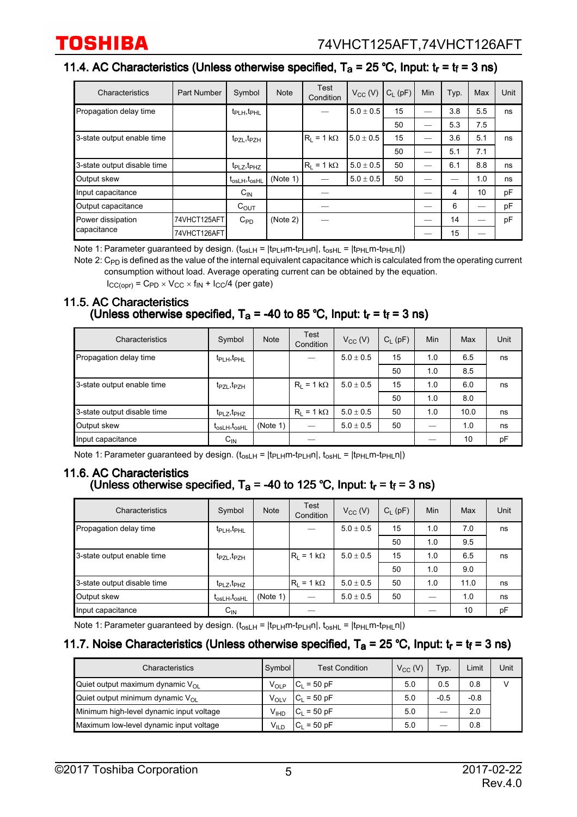#### 11.4. AC Characteristics (Unless otherwise specified,  $T_a = 25 \degree C$ , Input:  $t_r = t_f = 3 \text{ ns}$ )

| Characteristics             | Part Number  | Symbol                     | <b>Note</b> | <b>Test</b><br>Condition | $V_{CC}$ (V)  | $C_1$ (pF) | Min | Typ. | Max | Unit |
|-----------------------------|--------------|----------------------------|-------------|--------------------------|---------------|------------|-----|------|-----|------|
| Propagation delay time      |              | $t_{\rm PLH}, t_{\rm PHL}$ |             |                          | $5.0 \pm 0.5$ | 15         |     | 3.8  | 5.5 | ns   |
|                             |              |                            |             |                          |               | 50         |     | 5.3  | 7.5 |      |
| 3-state output enable time  |              | $t_{PZL}, t_{PZH}$         |             | $ R_1 = 1 k\Omega$       | $5.0 \pm 0.5$ | 15         |     | 3.6  | 5.1 | ns   |
|                             |              |                            |             |                          |               | 50         |     | 5.1  | 7.1 |      |
| 3-state output disable time |              | $t_{PLZ}, t_{PHZ}$         |             | $ R_1 = 1 k\Omega$       | $5.0 \pm 0.5$ | 50         |     | 6.1  | 8.8 | ns   |
| Output skew                 |              | $t_{osLH}, t_{osHL}$       | (Note 1)    |                          | $5.0 \pm 0.5$ | 50         |     |      | 1.0 | ns   |
| Input capacitance           |              | $C_{IN}$                   |             |                          |               |            |     | 4    | 10  | pF   |
| Output capacitance          |              | $C_{OUT}$                  |             |                          |               |            |     | 6    |     | pF   |
| Power dissipation           | 74VHCT125AFT | $C_{PD}$                   | (Note 2)    |                          |               |            |     | 14   | —   | pF   |
| capacitance                 | 74VHCT126AFT |                            |             |                          |               |            |     | 15   | –   |      |

Note 1: Parameter guaranteed by design.  $(t_{osLH} = |t_{PLH}m-t_{PLH}n|, t_{osHL} = |t_{PHL}m-t_{PHL}n|)$ 

Note 2:  $\mathtt{C_{PD}}$  is defined as the value of the internal equivalent capacitance which is calculated from the operating current consumption without load. Average operating current can be obtained by the equation.

 $I_{CC(opr)}$  = C<sub>PD</sub> × V<sub>CC</sub> × f<sub>IN</sub> +  $I_{CC}/4$  (per gate)

#### 11.5. AC Characteristics (Unless otherwise specified,  $T_a$  = -40 to 85 °C, Input:  $t_r$  =  $t_f$  = 3 ns)

| Characteristics             | Symbol                              | <b>Note</b> | <b>Test</b><br>Condition | $V_{CC}$ (V)  | $C_L$ (pF) | Min | Max  | Unit |
|-----------------------------|-------------------------------------|-------------|--------------------------|---------------|------------|-----|------|------|
| Propagation delay time      | t <sub>PLH</sub> , t <sub>PHL</sub> |             |                          | $5.0 \pm 0.5$ | 15         | 1.0 | 6.5  | ns   |
|                             |                                     |             |                          |               | 50         | 1.0 | 8.5  |      |
| 3-state output enable time  | t <sub>PZL</sub> , t <sub>PZH</sub> |             | $R_1 = 1 k\Omega$        | $5.0 + 0.5$   | 15         | 1.0 | 6.0  | ns   |
|                             |                                     |             |                          |               | 50         | 1.0 | 8.0  |      |
| 3-state output disable time | $t_{PLZ}, t_{PHZ}$                  |             | $R_1 = 1 k\Omega$        | $5.0 \pm 0.5$ | 50         | 1.0 | 10.0 | ns   |
| Output skew                 | $t_{osLH}, t_{osHL}$                | (Note 1)    | —                        | $5.0 \pm 0.5$ | 50         |     | 1.0  | ns   |
| Input capacitance           | $C_{IN}$                            |             |                          |               |            |     | 10   | pF   |

Note 1: Parameter guaranteed by design.  $(t_{osLH} = |t_{PLH}m-t_{PL}m|, t_{osHL} = |t_{PHL}m-t_{PHL}n|)$ 

#### 11.6. AC Characteristics

#### (Unless otherwise specified,  $T_a = -40$  to 125 °C, Input:  $t_r = t_f = 3$  ns)

| Characteristics             | Symbol                           | <b>Note</b> | Test<br>Condition  | $V_{CC}$ (V)  | $C_{L}$ (pF) | <b>Min</b> | Max  | Unit |
|-----------------------------|----------------------------------|-------------|--------------------|---------------|--------------|------------|------|------|
| Propagation delay time      | $t_{\text{PLH}}, t_{\text{PHL}}$ |             |                    | $5.0 \pm 0.5$ | 15           | 1.0        | 7.0  | ns   |
|                             |                                  |             |                    |               | 50           | 1.0        | 9.5  |      |
| 3-state output enable time  | $t_{PZL}, t_{PZH}$               |             | $ R_1 = 1 k\Omega$ | $5.0 \pm 0.5$ | 15           | 1.0        | 6.5  | ns   |
|                             |                                  |             |                    |               | 50           | 1.0        | 9.0  |      |
| 3-state output disable time | $t_{\text{PLZ}}, t_{\text{PHZ}}$ |             | $ R_1 = 1 k\Omega$ | $5.0 \pm 0.5$ | 50           | 1.0        | 11.0 | ns   |
| Output skew                 | $t_{osLH}, t_{osHL}$             | (Note 1)    |                    | $5.0 \pm 0.5$ | 50           |            | 1.0  | ns   |
| Input capacitance           | $C_{IN}$                         |             |                    |               |              |            | 10   | pF   |

Note 1: Parameter guaranteed by design.  $(t_{osLH} = |t_{PLH}m-t_{PLH}n|, t_{osHL} = |t_{PHL}m-t_{PHL}n|)$ 

#### 11.7. Noise Characteristics (Unless otherwise specified,  $T_a = 25$  °C, Input:  $t_r = t_f = 3$  ns)

| Characteristics                           | Symbol           | <b>Test Condition</b> | $V_{CC}$ (V) | Typ.   | Limit  | Unit |
|-------------------------------------------|------------------|-----------------------|--------------|--------|--------|------|
| Quiet output maximum dynamic $V_{\Omega}$ | V <sub>OLP</sub> | $IC_L = 50 pF$        | 5.0          | 0.5    | 0.8    |      |
| Quiet output minimum dynamic $V_{\Omega}$ | ∨ <sub>ΟLV</sub> | $ C_1 = 50 pF$        | 5.0          | $-0.5$ | $-0.8$ |      |
| Minimum high-level dynamic input voltage  | V <sub>IHD</sub> | $IC_1 = 50$ pF        | 5.0          | _      | 2.0    |      |
| Maximum low-level dynamic input voltage   | V <sub>ILD</sub> | $= 50$ pF<br>ັບ⊧      | 5.0          | _      | 0.8    |      |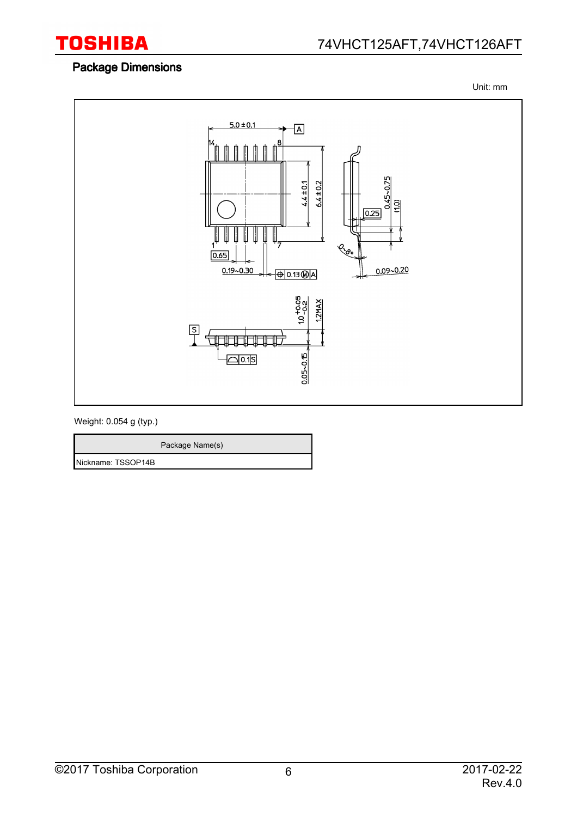

#### Package Dimensions

Unit: mm



Weight: 0.054 g (typ.)

|                    | Package Name(s) |
|--------------------|-----------------|
| Nickname: TSSOP14B |                 |